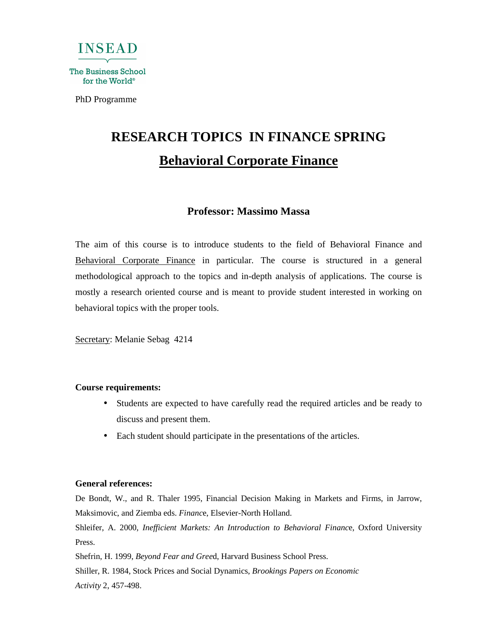

PhD Programme

# **RESEARCH TOPICS IN FINANCE SPRING Behavioral Corporate Finance**

# **Professor: Massimo Massa**

The aim of this course is to introduce students to the field of Behavioral Finance and Behavioral Corporate Finance in particular. The course is structured in a general methodological approach to the topics and in-depth analysis of applications. The course is mostly a research oriented course and is meant to provide student interested in working on behavioral topics with the proper tools.

Secretary: Melanie Sebag 4214

### **Course requirements:**

- Students are expected to have carefully read the required articles and be ready to discuss and present them.
- Each student should participate in the presentations of the articles.

# **General references:**

De Bondt, W., and R. Thaler 1995, Financial Decision Making in Markets and Firms, in Jarrow, Maksimovic, and Ziemba eds. *Financ*e, Elsevier-North Holland.

Shleifer, A. 2000, *Inefficient Markets: An Introduction to Behavioral Financ*e, Oxford University Press.

Shefrin, H. 1999, *Beyond Fear and Gree*d, Harvard Business School Press.

Shiller, R. 1984, Stock Prices and Social Dynamics, *Brookings Papers on Economic Activity* 2, 457-498.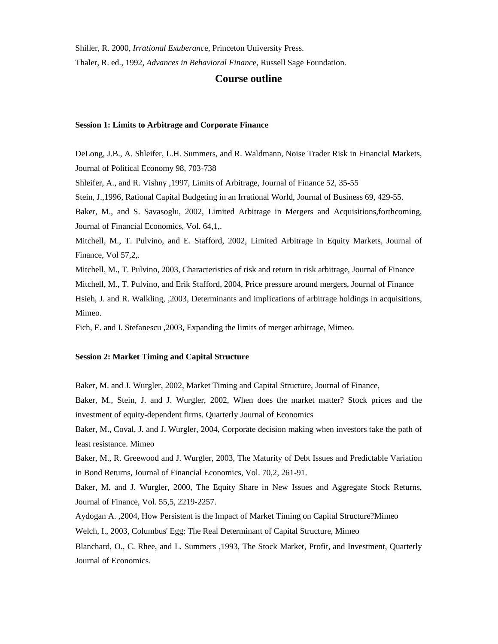Shiller, R. 2000, *Irrational Exuberanc*e, Princeton University Press.

Thaler, R. ed., 1992, *Advances in Behavioral Financ*e, Russell Sage Foundation.

## **Course outline**

#### **Session 1: Limits to Arbitrage and Corporate Finance**

DeLong, J.B., A. Shleifer, L.H. Summers, and R. Waldmann, Noise Trader Risk in Financial Markets, Journal of Political Economy 98, 703-738 Shleifer, A., and R. Vishny ,1997, Limits of Arbitrage, Journal of Finance 52, 35-55 Stein, J.,1996, Rational Capital Budgeting in an Irrational World, Journal of Business 69, 429-55. Baker, M., and S. Savasoglu, 2002, Limited Arbitrage in Mergers and Acquisitions,forthcoming, Journal of Financial Economics, Vol. 64,1,. Mitchell, M., T. Pulvino, and E. Stafford, 2002, Limited Arbitrage in Equity Markets, Journal of Finance, Vol 57,2,. Mitchell, M., T. Pulvino, 2003, Characteristics of risk and return in risk arbitrage, Journal of Finance Mitchell, M., T. Pulvino, and Erik Stafford, 2004, Price pressure around mergers, Journal of Finance Hsieh, J. and R. Walkling, ,2003, Determinants and implications of arbitrage holdings in acquisitions, Mimeo.

Fich, E. and I. Stefanescu ,2003, Expanding the limits of merger arbitrage, Mimeo.

#### **Session 2: Market Timing and Capital Structure**

Baker, M. and J. Wurgler, 2002, Market Timing and Capital Structure, Journal of Finance,

Baker, M., Stein, J. and J. Wurgler, 2002, When does the market matter? Stock prices and the investment of equity-dependent firms. Quarterly Journal of Economics

Baker, M., Coval, J. and J. Wurgler, 2004, Corporate decision making when investors take the path of least resistance. Mimeo

Baker, M., R. Greewood and J. Wurgler, 2003, The Maturity of Debt Issues and Predictable Variation in Bond Returns, Journal of Financial Economics, Vol. 70,2, 261-91.

Baker, M. and J. Wurgler, 2000, The Equity Share in New Issues and Aggregate Stock Returns, Journal of Finance, Vol. 55,5, 2219-2257.

Aydogan A. ,2004, How Persistent is the Impact of Market Timing on Capital Structure?Mimeo

Welch, I., 2003, Columbus' Egg: The Real Determinant of Capital Structure, Mimeo

Blanchard, O., C. Rhee, and L. Summers ,1993, The Stock Market, Profit, and Investment, Quarterly Journal of Economics.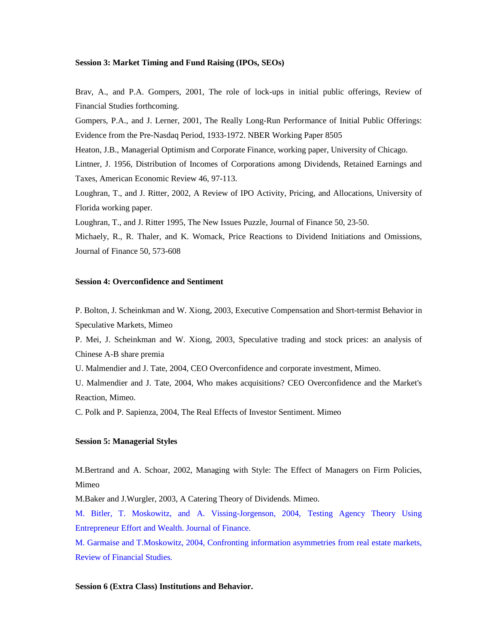#### **Session 3: Market Timing and Fund Raising (IPOs, SEOs)**

Brav, A., and P.A. Gompers, 2001, The role of lock-ups in initial public offerings, Review of Financial Studies forthcoming.

Gompers, P.A., and J. Lerner, 2001, The Really Long-Run Performance of Initial Public Offerings: Evidence from the Pre-Nasdaq Period, 1933-1972. NBER Working Paper 8505

Heaton, J.B., Managerial Optimism and Corporate Finance, working paper, University of Chicago.

Lintner, J. 1956, Distribution of Incomes of Corporations among Dividends, Retained Earnings and Taxes, American Economic Review 46, 97-113.

Loughran, T., and J. Ritter, 2002, A Review of IPO Activity, Pricing, and Allocations, University of Florida working paper.

Loughran, T., and J. Ritter 1995, The New Issues Puzzle, Journal of Finance 50, 23-50.

Michaely, R., R. Thaler, and K. Womack, Price Reactions to Dividend Initiations and Omissions, Journal of Finance 50, 573-608

#### **Session 4: Overconfidence and Sentiment**

P. Bolton, J. Scheinkman and W. Xiong, 2003, Executive Compensation and Short-termist Behavior in Speculative Markets, Mimeo

P. Mei, J. Scheinkman and W. Xiong, 2003, Speculative trading and stock prices: an analysis of Chinese A-B share premia

U. Malmendier and J. Tate, 2004, CEO Overconfidence and corporate investment, Mimeo.

U. Malmendier and J. Tate, 2004, Who makes acquisitions? CEO Overconfidence and the Market's Reaction, Mimeo.

C. Polk and P. Sapienza, 2004, The Real Effects of Investor Sentiment. Mimeo

#### **Session 5: Managerial Styles**

M.Bertrand and A. Schoar, 2002, Managing with Style: The Effect of Managers on Firm Policies, Mimeo

M.Baker and J.Wurgler, 2003, A Catering Theory of Dividends. Mimeo.

M. Bitler, T. Moskowitz, and A. Vissing-Jorgenson, 2004, Testing Agency Theory Using Entrepreneur Effort and Wealth. Journal of Finance.

M. Garmaise and T.Moskowitz, 2004, Confronting information asymmetries from real estate markets, Review of Financial Studies.

#### **Session 6 (Extra Class) Institutions and Behavior.**